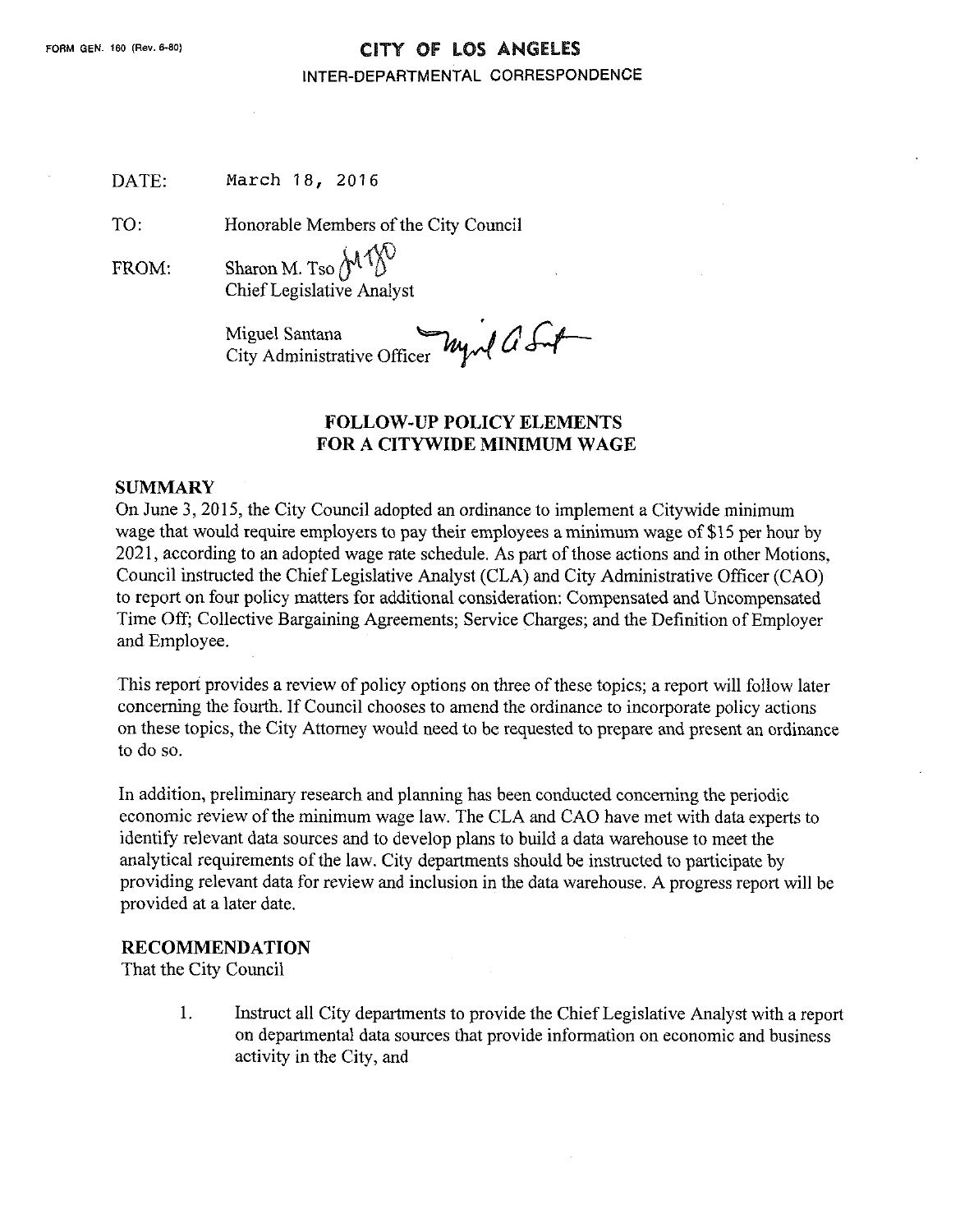#### FORM GEN. 160 (Rev. 6-80) **CITY OF LOS ANGELES**

#### INTER-DEPARTMENTAL CORRESPONDENCE

| DATE: | March 18, 2016 |  |
|-------|----------------|--|
|-------|----------------|--|

TO: Honorable Members of the City Council

FROM: Sharon M. Tso  $M$ <sup>1</sup> $N$ ChiefLegislative Analyst

Miguel Santana<br>City Administrative Officer

#### **FOLLOW-UP POLICY ELEMENTS FOR A CITYWIDE MINIMUM WAGE**

#### **SUMMARY**

On June 3, 2015, the City Council adopted an ordinance to implement a Citywide minimum wage that would require employers to pay their employees a minimum wage of \$15 per hour by 2021, according to an adopted wage rate schedule. As part of those actions and in other Motions, Council instructed the ChiefLegislative Analyst (CLA) and City Administrative Officer (CAO) to report on four policy matters for additional consideration: Compensated and Uncompensated Time Off; Collective Bargaining Agreements; Service Charges; and the Definition of Employer and Employee.

This report provides a review of policy options on three of these topics; a report will follow later concerning the fourth. IfCouncil chooses to amend the ordinance to incorporate policy actions on these topics, the City Attorney would need to be requested to prepare and present an ordinance to do so.

In addition, preliminary research and planning has been conducted concerning the periodic economic review of the minimum wage law. The CLA and CAO have met with data experts to identify relevant data sources and to develop plans to build a data warehouse to meet the analytical requirements of the law. City departments should be instructed to participate by providing relevant data for review and inclusion in the data warehouse. A progress report will be provided at a later date.

#### **RECOMMENDATION**

That the City Council

1. Instruct all City departments to provide the ChiefLegislative Analyst with a report on departmental data sources that provide information on economic and business activity in the City, and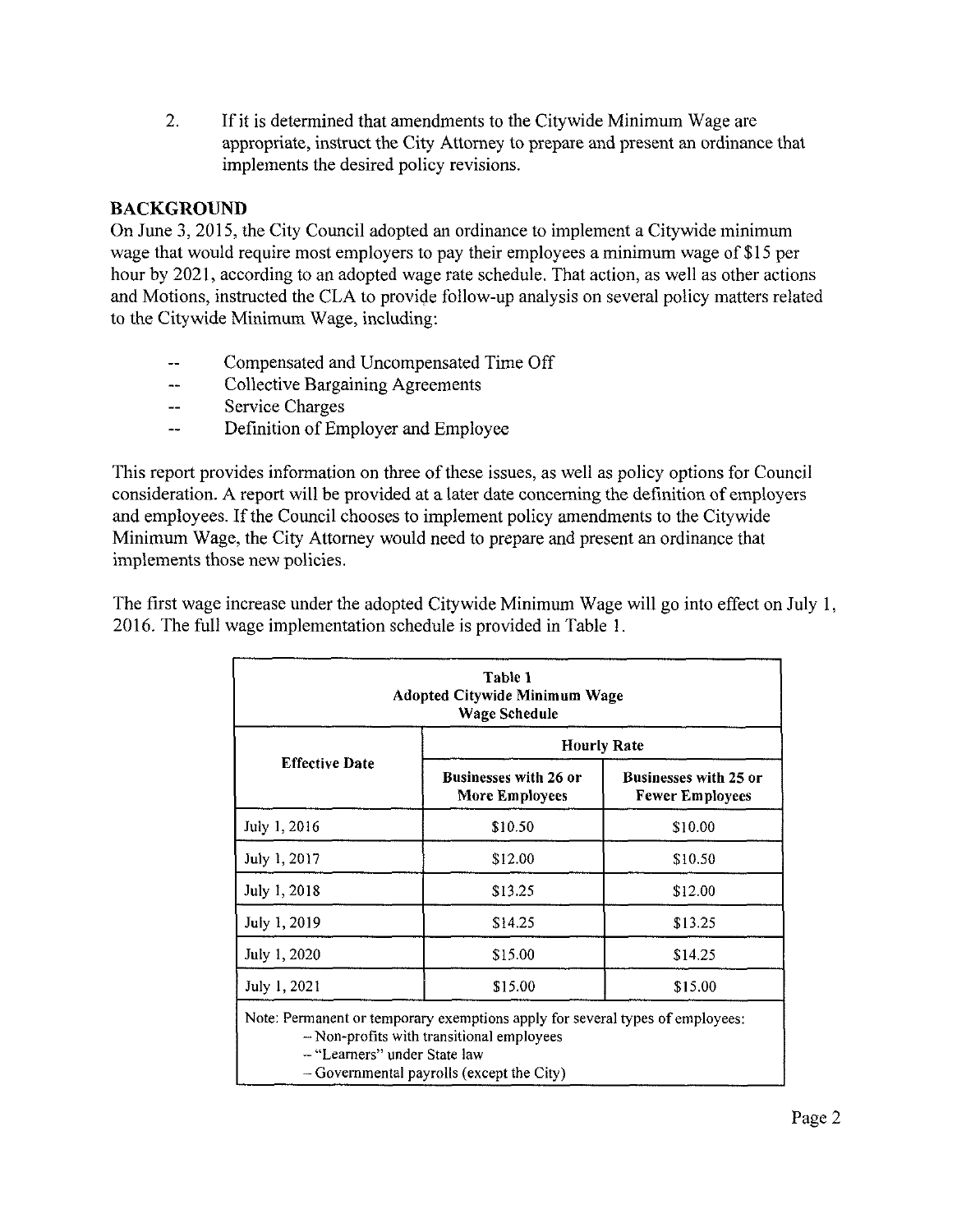2. If it is determined that amendments to the Citywide Minimum Wage are appropriate, instruct the City Attorney to prepare and present an ordinance that implements the desired policy revisions.

### BACKGROUND

On June 3, 2015, the City Council adopted an ordinance to implement a Citywide minimum wage that would require most employers to pay their employees a minimum wage of \$15 per hour by 2021, according to an adopted wage rate schedule. That action, as well as other actions and Motions, instructed the CLA to provide follow-up analysis on several policy matters related to the Citywide Minimum Wage, including:

- Compensated and Uncompensated Time Off
- ~ Collective Bargaining Agreements
- -- Service Charges
- ~ Definition ofEmployer and Employee

This report provides information on three of these issues, as well as policy options for Council consideration. A report will be provided at a later date concerning the definition of employers and employees. If the Council chooses to implement policy amendments to the Citywide Minimum Wage, the City Attorney would need to prepare and present an ordinance that implements those new policies.

The first wage increase under the adopted Citywide Minimum Wage will go into effect on July 1, 2016. The full wage implementation schedule is provided in Table 1.

|                       | <b>Hourly Rate</b>                             |                                                        |  |
|-----------------------|------------------------------------------------|--------------------------------------------------------|--|
| <b>Effective Date</b> | <b>Businesses with 26 or</b><br>More Employees | <b>Businesses with 25 or</b><br><b>Fewer Employees</b> |  |
| July 1, 2016          | \$10.50                                        | \$10.00                                                |  |
| July 1, 2017          | \$12.00                                        | \$10.50                                                |  |
| July 1, 2018          | \$13.25                                        | \$12.00                                                |  |
| July 1, 2019          | \$14.25                                        | \$13.25                                                |  |
| July 1, 2020          | \$15.00                                        | \$14.25                                                |  |
| July 1, 2021          | \$15.00                                        | \$15.00                                                |  |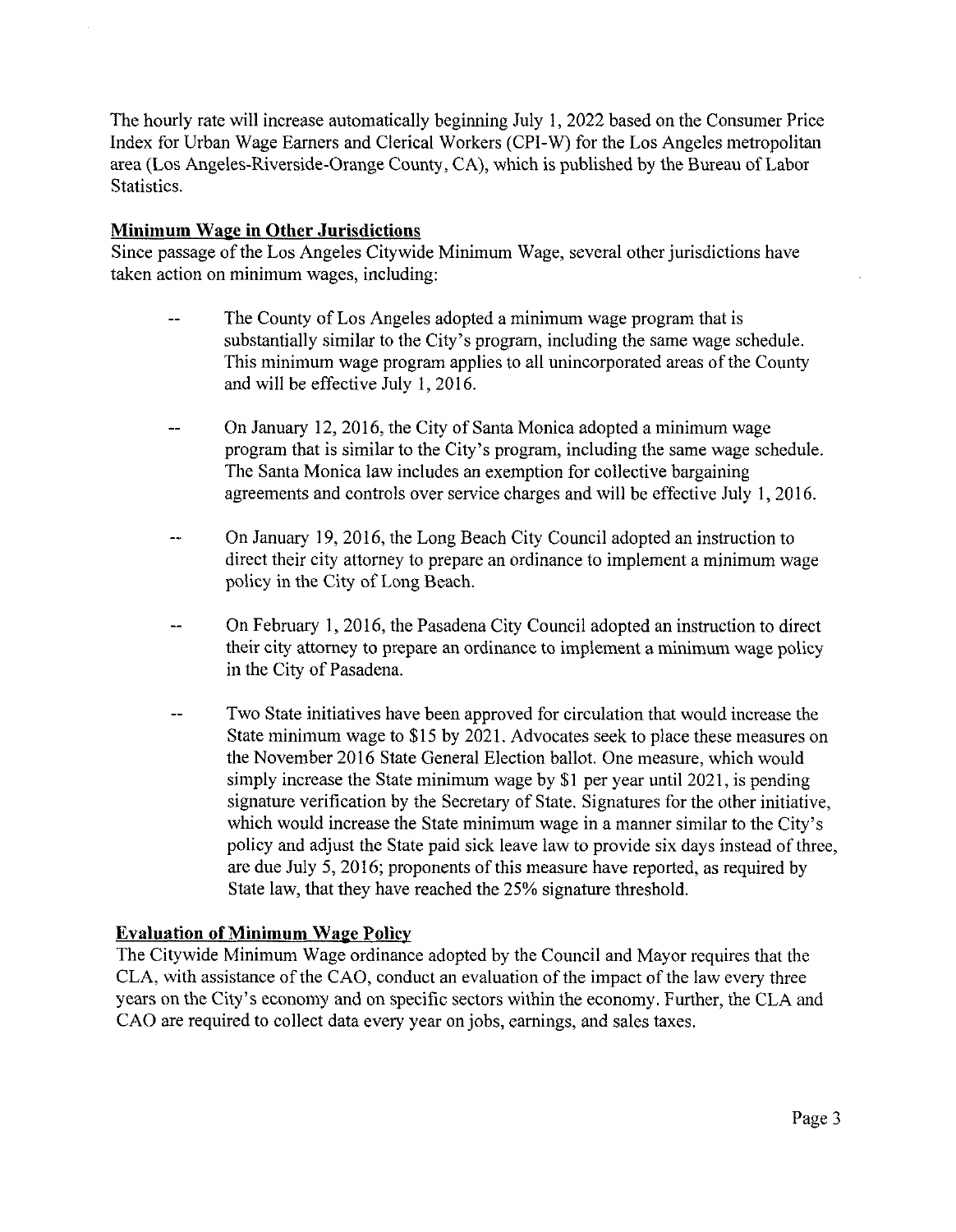The hourly rate will increase automatically beginning July 1, 2022 based on the Consumer Price Index for Urban Wage Earners and Clerical Workers (CPI-W) for the Los Angeles metropolitan area (Los Angeles-Riverside-Orange County, CA), which is published by the Bureau of Labor Statistics.

### **Minimum Wage in Other Jurisdictions**

Since passage of the Los Angeles Citywide Minimum Wage, several other jurisdictions have taken action on minimum wages, including:

- -- The County of Los Angeles adopted a minimum wage program that is substantially similar to the City's program, including the same wage schedule. This minimum wage program applies to all unincorporated areas of the County and will be effective July 1, 2016.
- -- On January 12,2016, the City of Santa Monica adopted a minimum wage program that is similar to the City's program, including the same wage schedule. The Santa Monica law includes an exemption for collective bargaining agreements and controls over service charges and will be effective July 1, 2016.
- -- On January 19, 2016, the Long Beach City Council adopted an instruction to direct their city attorney to prepare an ordinance to implement a minimum wage policy in the City of Long Beach.
- -- On February 1, 2016, the Pasadena City Council adopted an instruction to direct their city attorney to prepare an ordinance to implement a minimum wage policy in the City of Pasadena.
- Two State initiatives have been approved for circulation that would increase the State minimum wage to \$15 by 2021. Advocates seek to place these measures on the November 2016 State General Election ballot. One measure, which would simply increase the State minimum wage by \$1 per year until 2021, is pending signature verification by the Secretary of State. Signatures for the other initiative, which would increase the State minimum wage in a manner similar to the City's policy and adjust the State paid sick leave law to provide six days instead of three, are due July 5, 2016; proponents of this measure have reported, as required by State law, that they have reached the 25% signature threshold.

## **Evaluation of Minimum Wage Policy**

The Citywide Minimum Wage ordinance adopted by the Council and Mayor requires that the CLA, with assistance of the CAO, conduct an evaluation of the impact of the law every three years on the City's economy and on specific sectors within the economy. Further, the CLA and CAO are required to collect data every year on jobs, earnings, and sales taxes.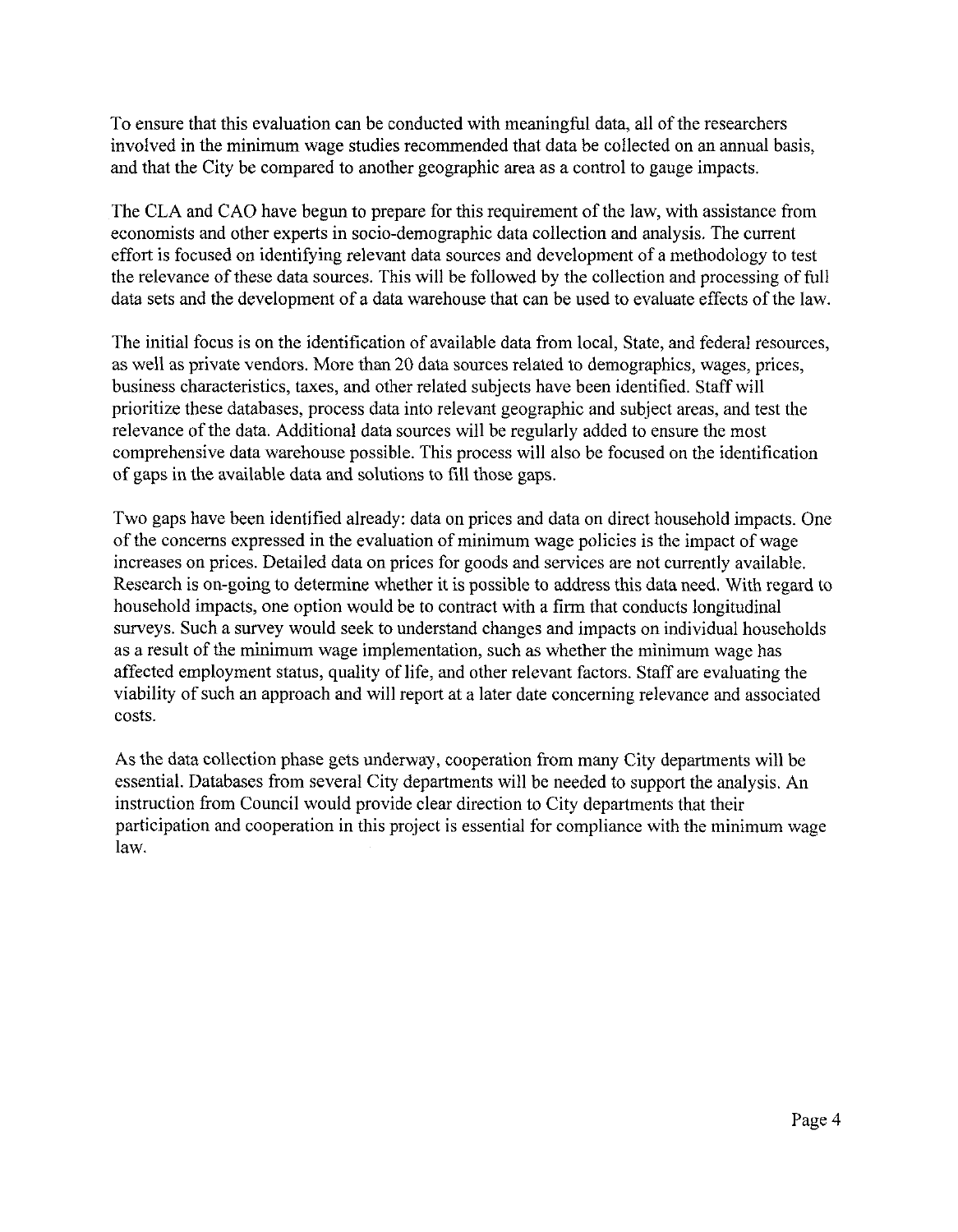To ensure that this evaluation can be conducted with meaningful data, all of the researchers involved in the minimum wage studies recommended that data be collected on an annual basis, and that the City be compared to another geographic area as a control to gauge impacts.

The CLA and CAO have begun to prepare for this requirement of the law, with assistance from economists and other experts in socio-demographic data collection and analysis. The current effort is focused on identifying relevant data sources and development of a methodology to test the relevance of these data sources. This will be followed by the collection and processing of full data sets and the development of a data warehouse that can be used to evaluate effects of the law.

The initial focus is on the identification of available data from local, State, and federal resources, as well as private vendors. More than 20 data sources related to demographics, wages, prices, business characteristics, taxes, and other related subjects have been identified. Staff will prioritize these databases, process data into relevant geographic and subject areas, and test the relevance of the data. Additional data sources will be regularly added to ensure the most comprehensive data warehouse possible. This process will also be focused on the identification of gaps in the available data and solutions to fill those gaps.

Two gaps have been identified already: data on prices and data on direct household impacts. One of the concerns expressed in the evaluation of minimum wage policies is the impact of wage increases on prices. Detailed data on prices for goods and services are not currently available. Research is on-going to determine whether it is possible to address this data need. With regard to household impacts, one option would be to contract with a firm that conducts longitudinal surveys. Such a survey would seek to understand changes and impacts on individual households as a result of the minimum wage implementation, such as whether the minimum wage has affected employment status, quality of life, and other relevant factors. Staff are evaluating the viability of such an approach and will report at a later date concerning relevance and associated costs.

As the data collection phase gets underway, cooperation from many City departments will be essential. Databases from several City departments will be needed to support the analysis. An instruction from Council would provide clear direction to City departments that their participation and cooperation in this project is essential for compliance with the minimum wage law.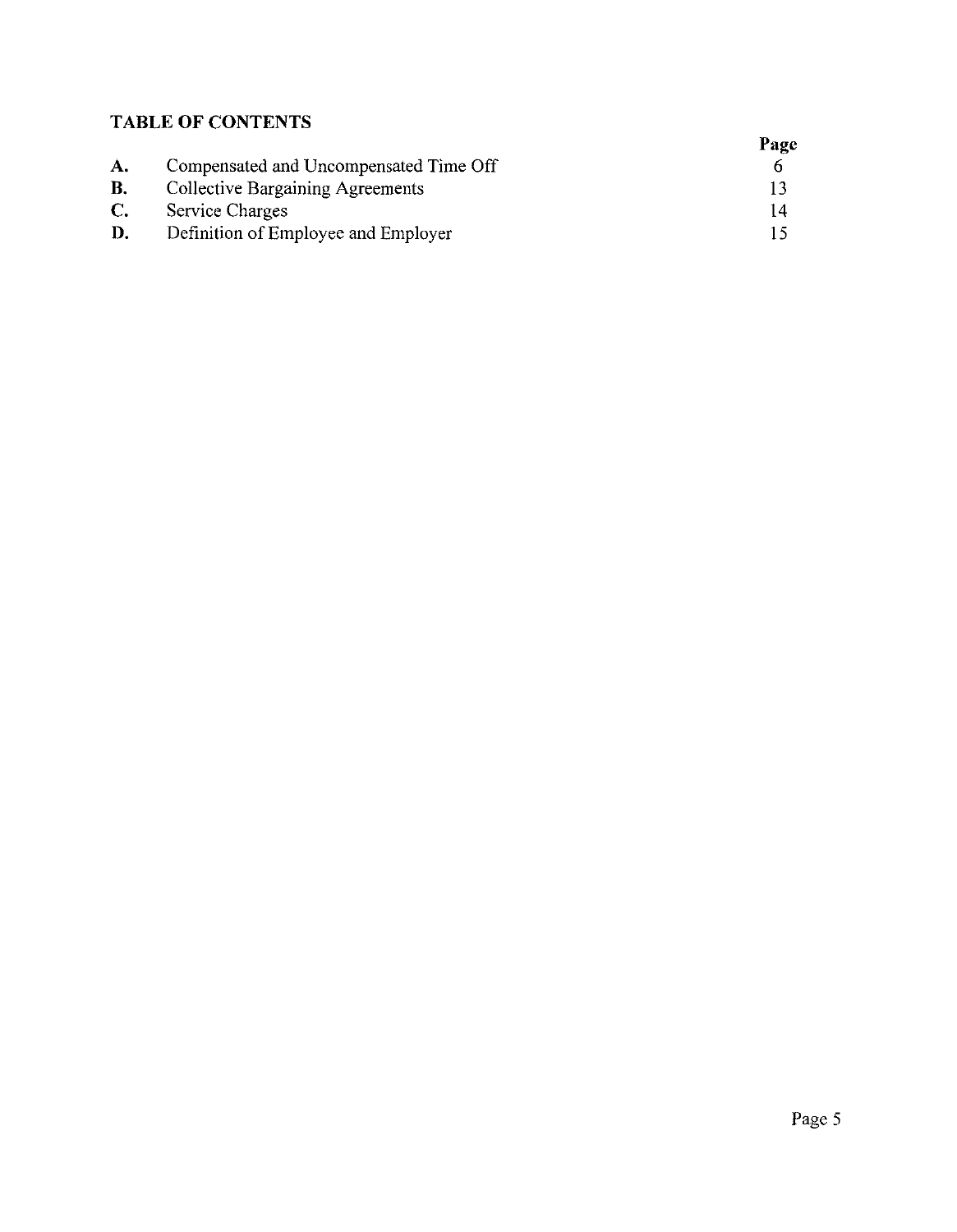# **TABLE OF CONTENTS**

|           |                                         | Page |
|-----------|-----------------------------------------|------|
| A.        | Compensated and Uncompensated Time Off  |      |
| <b>B.</b> | <b>Collective Bargaining Agreements</b> |      |
| C.        | <b>Service Charges</b>                  |      |
| D.        | Definition of Employee and Employer     |      |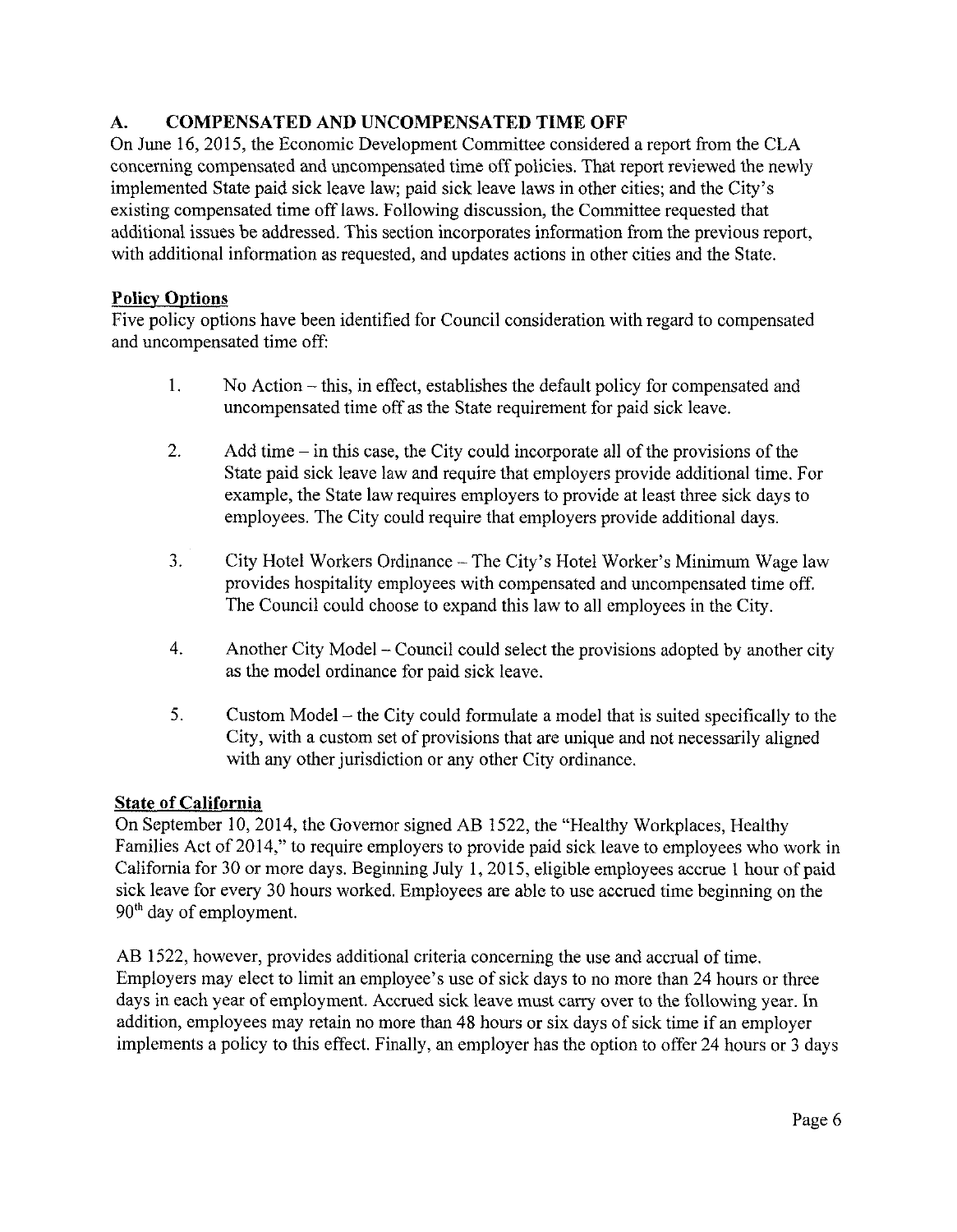# A. COMPENSATED AND UNCOMPENSATED TIME OFF

On June 16, 2015, the Economic Development Committee considered a report from the CLA concerning compensated and uncompensated time off policies. That report reviewed the newly implemented State paid sick leave law; paid sick leave laws in other cities; and the City's existing compensated time off laws. Following discussion, the Committee requested that additional issues be addressed. This section incorporates information from the previous report, with additional information as requested, and updates actions in other cities and the State.

## Policy Options

Five policy options have been identified for Council consideration with regard to compensated and uncompensated time off:

- 1. No Action -this, in effect, establishes the default policy for compensated and uncompensated time off as the State requirement for paid sick leave.
- 2. Add time  $-$  in this case, the City could incorporate all of the provisions of the State paid sick leave law and require that employers provide additional time. For example, the State law requires employers to provide at least three sick days to employees. The City could require that employers provide additional days.
- 3. City Hotel Workers Ordinance The City's Hotel Worker's Minimum Wage law provides hospitality employees with compensated and uncompensated time off. The Council could choose to expand this law to all employees in the City.
- 4. Another City Model Council could select the provisions adopted by another city as the model ordinance for paid sick leave.
- 5. Custom Model the City could formulate a model that is suited specifically to the City, with a custom set of provisions that are unique and not necessarily aligned with any other jurisdiction or any other City ordinance.

## **State of California**

On September 10, 2014, the Governor signed AB 1522, the "Healthy Workplaces, Healthy Families Act of 2014," to require employers to provide paid sick leave to employees who work in California for 30 or more days. Beginning July 1,2015, eligible employees accrue <sup>1</sup> hour of paid sick leave for every 30 hours worked. Employees are able to use accrued time beginning on the  $90<sup>th</sup>$  day of employment.

AB 1522, however, provides additional criteria concerning the use and accrual of time. Employers may elect to limit an employee's use of sick days to no more than 24 hours or three days in each year of employment. Accrued sick leave must carry over to the following year. In addition, employees may retain no more than 48 hours or six days of sick time if an employer implements a policy to this effect. Finally, an employer has the option to offer 24 hours or 3 days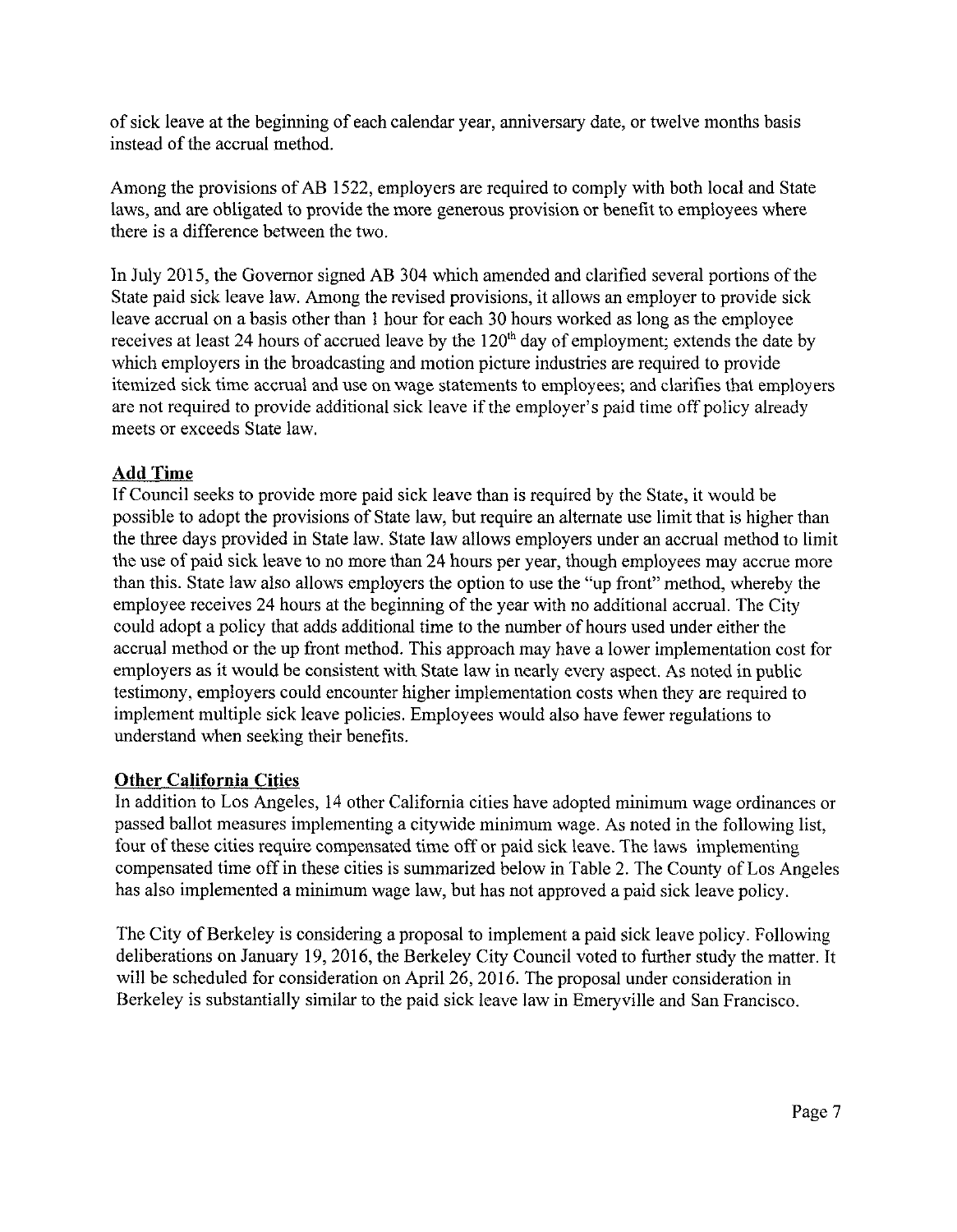ofsick leave at the beginning of each calendar year, anniversary date, or twelve months basis instead of the accrual method.

Among the provisions of AB 1522, employers are required to comply with both local and State laws, and are obligated to provide the more generous provision or benefit to employees where there is a difference between the two.

In July 2015, the Governor signed AB 304 which amended and clarified several portions of the State paid sick leave law. Among the revised provisions, it allows an employer to provide sick leave accrual on a basis other than <sup>1</sup> hour for each 30 hours worked as long as the employee receives at least 24 hours of accrued leave by the  $120<sup>th</sup>$  day of employment; extends the date by which employers in the broadcasting and motion picture industries are required to provide itemized sick time accrual and use on wage statements to employees; and clarifies that employers are not required to provide additional sick leave if the employer's paid time off policy already meets or exceeds State law.

## Add Time

IfCouncil seeks to provide more paid sick leave than is required by the State, it would be possible to adopt the provisions of State law, but require an alternate use limit that is higher than the three days provided in State law. State law allows employers under an accrual method to limit the use of paid sick leave to no more than 24 hours per year, though employees may accrue more than this. State law also allows employers the option to use the "up front" method, whereby the employee receives 24 hours at the beginning of the year with no additional accrual. The City could adopt a policy that adds additional time to the number of hours used under either the accrual method or the up front method. This approach may have a lower implementation cost for employers as it would be consistent with State law in nearly every aspect. As noted in public testimony, employers could encounter higher implementation costs when they are required to implement multiple sick leave policies. Employees would also have fewer regulations to understand when seeking their benefits.

## Other California Cities

In addition to Los Angeles, 14 other California cities have adopted minimum wage ordinances or passed ballot measures implementing a citywide minimum wage. As noted in the following list, four of these cities require compensated time off or paid sick leave. The laws implementing compensated time off in these cities is summarized below in Table 2. The County of Los Angeles has also implemented a minimum wage law, but has not approved a paid sick leave policy.

The City of Berkeley is considering a proposal to implement a paid sick leave policy. Following deliberations on January 19, 2016, the Berkeley City Council voted to further study the matter. It will be scheduled for consideration on April 26, 2016. The proposal under consideration in Berkeley is substantially similar to the paid sick leave law in Emeryville and San Francisco.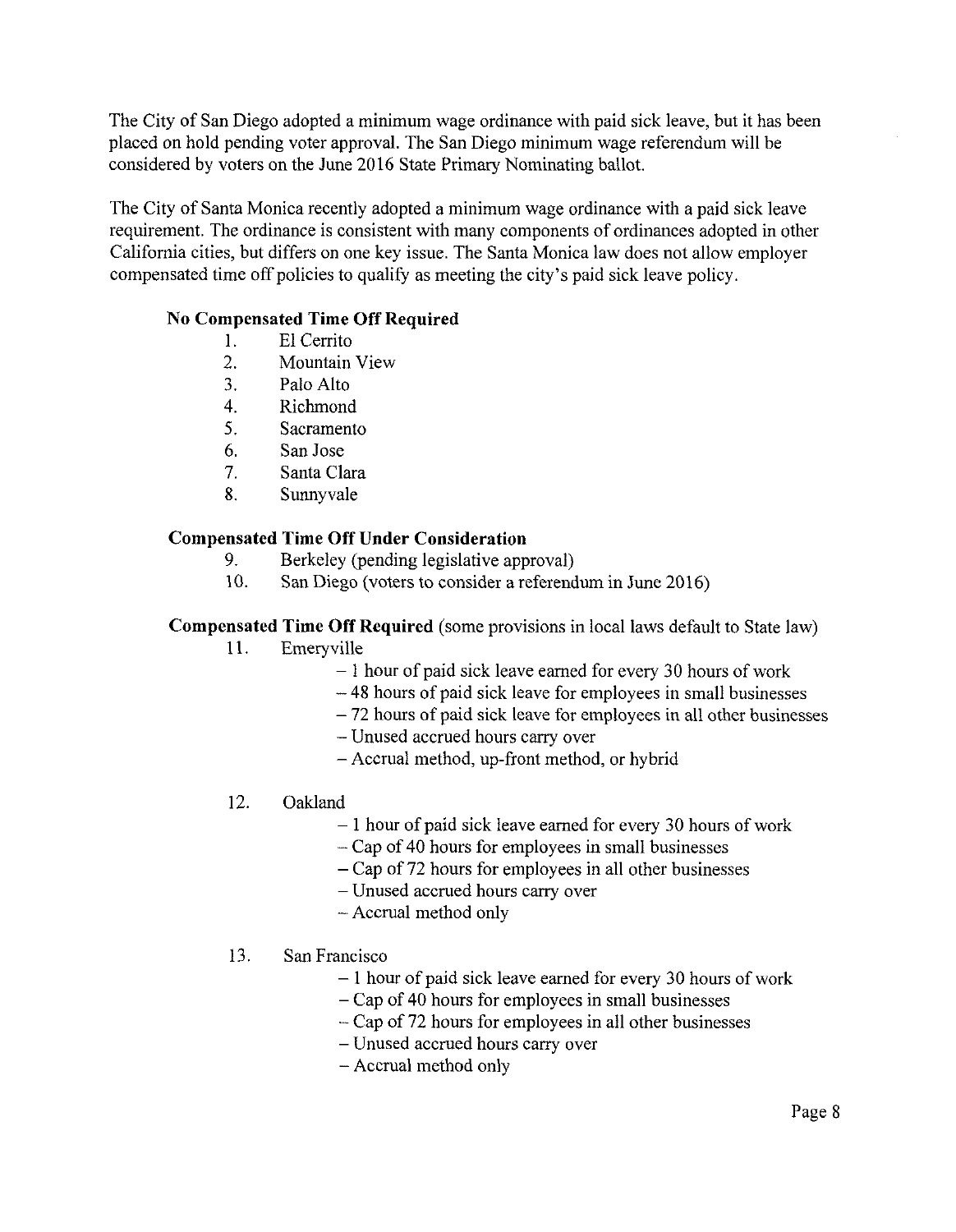The City of San Diego adopted a minimum wage ordinance with paid sick leave, but it has been placed on hold pending voter approval. The San Diego minimum wage referendum will be considered by voters on the June 2016 State Primary Nominating ballot.

The City of Santa Monica recently adopted a minimum wage ordinance with a paid sick leave requirement. The ordinance is consistent with many components of ordinances adopted in other California cities, but differs on one key issue. The Santa Monica law does not allow employer compensated time off policies to qualify as meeting the city's paid sick leave policy.

## **No Compensated Time Off Required**

- 1. El Cerrito
- 2. Mountain View
- 3. Palo Alto
- 4. Richmond
- 5. Sacramento
- 6. San Jose
- 7. Santa Clara
- 8. Sunnyvale

### **Compensated Time Off Under Consideration**

- 9. Berkeley (pending legislative approval)
- 10. San Diego (voters to consider a referendum in June 2016)

#### **Compensated Time Off Required** (some provisions in local laws default to State law)

- 11. Emeryville
	- $-1$  hour of paid sick leave earned for every 30 hours of work
	- <sup>48</sup> hours of paid sick leave for employees in small businesses
	- <sup>72</sup> hours of paid sick leave for employees in all other businesses
	- Unused accrued hours carry over
	- Accrual method, up-front method, or hybrid
- 12. Oakland
	- $-1$  hour of paid sick leave earned for every 30 hours of work
	- Cap of <sup>40</sup> hours for employees in small businesses
	- Cap of <sup>72</sup> hours for employees in all other businesses
	- Unused accrued hours carry over
	- Accrual method only

#### 13. San Francisco

- $-1$  hour of paid sick leave earned for every 30 hours of work
- Cap of <sup>40</sup> hours for employees in small businesses
- Cap of <sup>72</sup> hours for employees in all other businesses
- Unused accrued hours carry over
- Accrual method only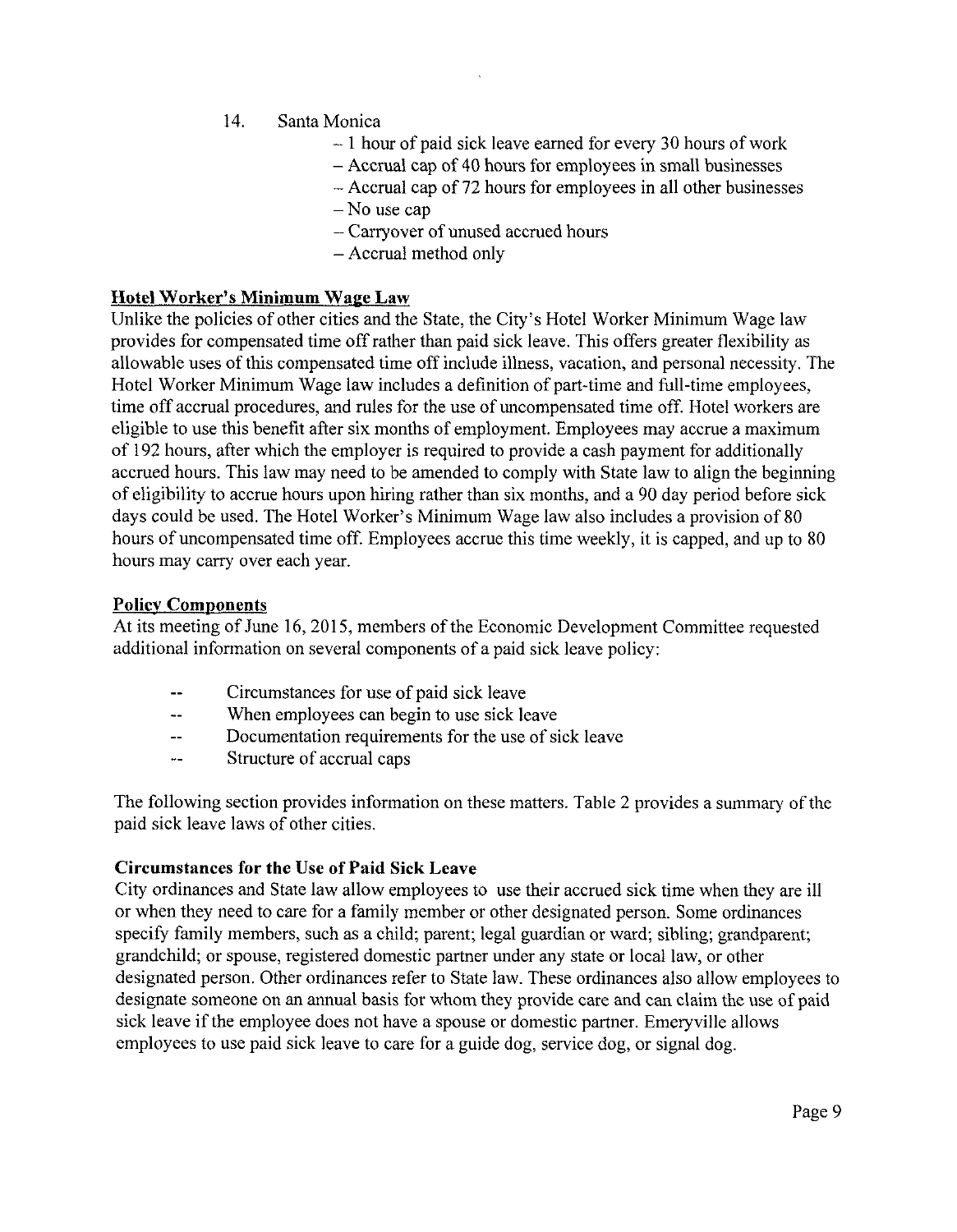- 14. Santa Monica
	- $-1$  hour of paid sick leave earned for every 30 hours of work
	- Accrual cap of 40 hours for employees in small businesses
	- Accrual cap of <sup>72</sup> hours for employees in all other businesses
	- No use cap
	- Carryover of unused accrued hours
	- Accrual method only

#### **Hotel Worker's Minimum Wage Law**

Unlike the policies of other cities and the State, the City's Hotel Worker Minimum Wage law provides for compensated time offrather than paid sick leave. This offers greater flexibility as allowable uses of this compensated time off include illness, vacation, and personal necessity. The Hotel Worker Minimum Wage law includes a definition of part-time and full-time employees, time off accrual procedures, and rules for the use of uncompensated time off. Hotel workers are eligible to use this benefit after six months of employment. Employees may accrue a maximum of 192 hours, after which the employer is required to provide a cash payment for additionally accrued hours. This law may need to be amended to comply with State law to align the beginning of eligibility to accrue hours upon hiring rather than six months, and a 90 day period before sick days could be used. The Hotel Worker's Minimum Wage law also includes a provision of 80 hours of uncompensated time off. Employees accrue this time weekly, it is capped, and up to 80 hours may carry over each year.

#### **Policy Components**

At its meeting of June 16, 2015, members of the Economic Development Committee requested additional information on several components of a paid sick leave policy:

- Circumstances for use of paid sick leave
- -- When employees can begin to use sick leave
- -- Documentation requirements for the use of sick leave
- Structure of accrual caps

The following section provides information on these matters. Table 2 provides a summary of the paid sick leave laws of other cities.

#### **Circumstances for the Use ofPaid Sick Leave**

City ordinances and State law allow employees to use their accrued sick time when they are ill or when they need to care for a family member or other designated person. Some ordinances specify family members, such as a child; parent; legal guardian or ward; sibling; grandparent; grandchild; or spouse, registered domestic partner under any state or local law, or other designated person. Other ordinances refer to State law. These ordinances also allow employees to designate someone on an annual basis for whom they provide care and can claim the use of paid sick leave if the employee does not have a spouse or domestic partner. Emeryville allows employees to use paid sick leave to care for a guide dog, service dog, or signal dog.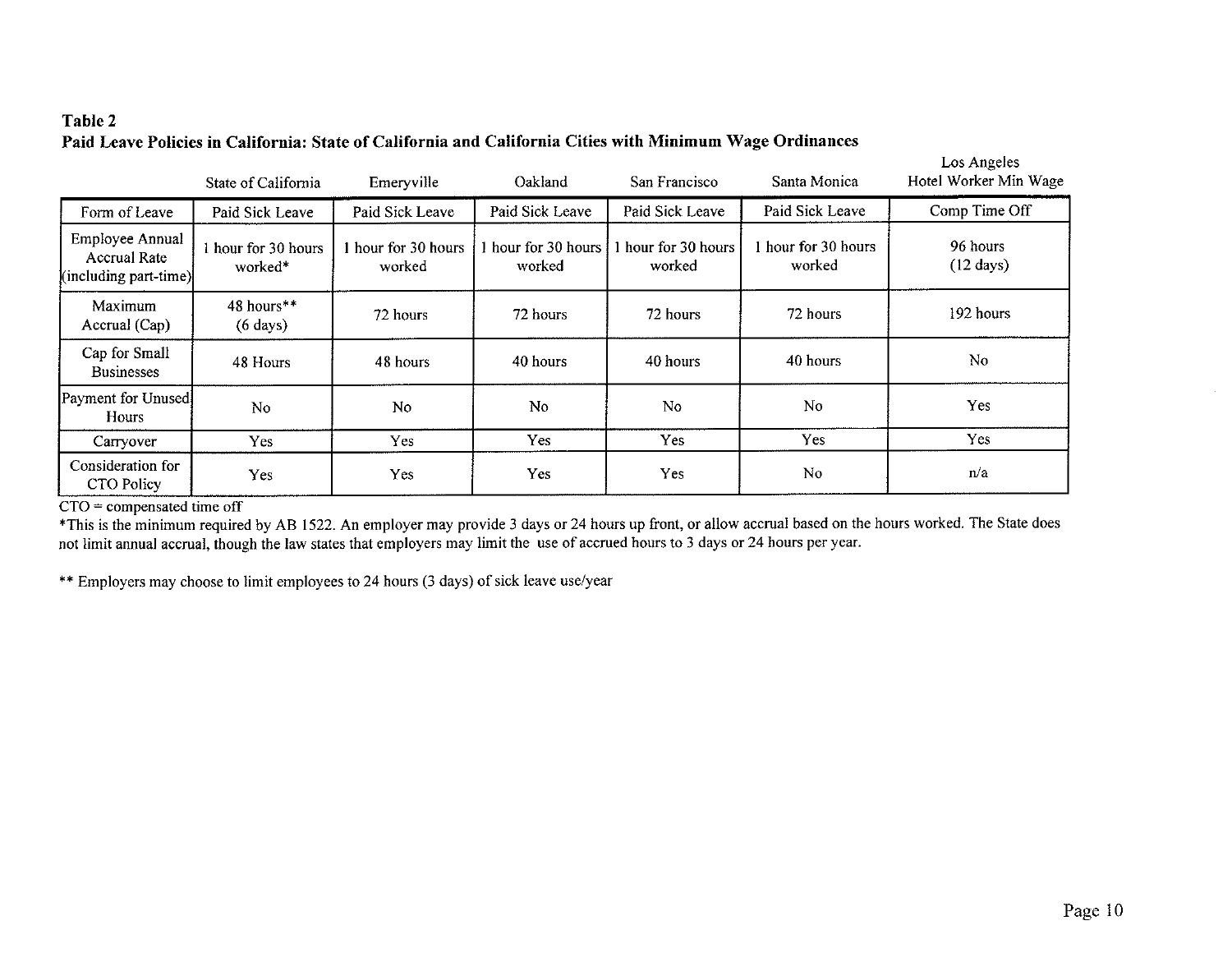# **Table 2 Paid Leave Policies in California: State of California and California Cities with Minimum Wage Ordinances**

|                                                                 | State of California              | Emeryville                    | Oakland                       | San Francisco               | Santa Monica                  | Los Angeles<br>Hotel Worker Min Wage |
|-----------------------------------------------------------------|----------------------------------|-------------------------------|-------------------------------|-----------------------------|-------------------------------|--------------------------------------|
| Form of Leave                                                   | Paid Sick Leave                  | Paid Sick Leave               | Paid Sick Leave               | Paid Sick Leave             | Paid Sick Leave               | Comp Time Off                        |
| Employee Annual<br><b>Accrual Rate</b><br>(including part-time) | 1 hour for 30 hours<br>worked*   | 1 hour for 30 hours<br>worked | l hour for 30 hours<br>worked | hour for 30 hours<br>worked | 1 hour for 30 hours<br>worked | 96 hours<br>$(12 \text{ days})$      |
| Maximum<br>Accrual (Cap)                                        | 48 hours**<br>$(6 \text{ days})$ | 72 hours                      | 72 hours                      | 72 hours                    | 72 hours                      | 192 hours                            |
| Cap for Small<br><b>Businesses</b>                              | 48 Hours                         | 48 hours                      | 40 hours                      | 40 hours                    | 40 hours                      | N <sub>0</sub>                       |
| Payment for Unused<br><b>Hours</b>                              | N <sub>o</sub>                   | No                            | No.                           | N <sub>0</sub>              | No                            | Yes                                  |
| Carryover                                                       | Yes                              | Yes                           | Yes                           | Yes                         | Yes                           | Yes                                  |
| Consideration for<br>CTO Policy                                 | Yes                              | <b>Yes</b>                    | Yes.                          | Yes.                        | No                            | n/a                                  |

CTO = compensated time off

♦This is the minimum required by AB 1522. An employer may provide 3 days or 24 hours up front, or allow accrual based on the hours worked. The State does not limit annual accrual, though the law states that employers may limit the use of accrued hours to 3 days or 24 hours per year.

\*\* Employers may choose to limit employees to 24 hours (3 days) of sick leave use/year

 $\sim$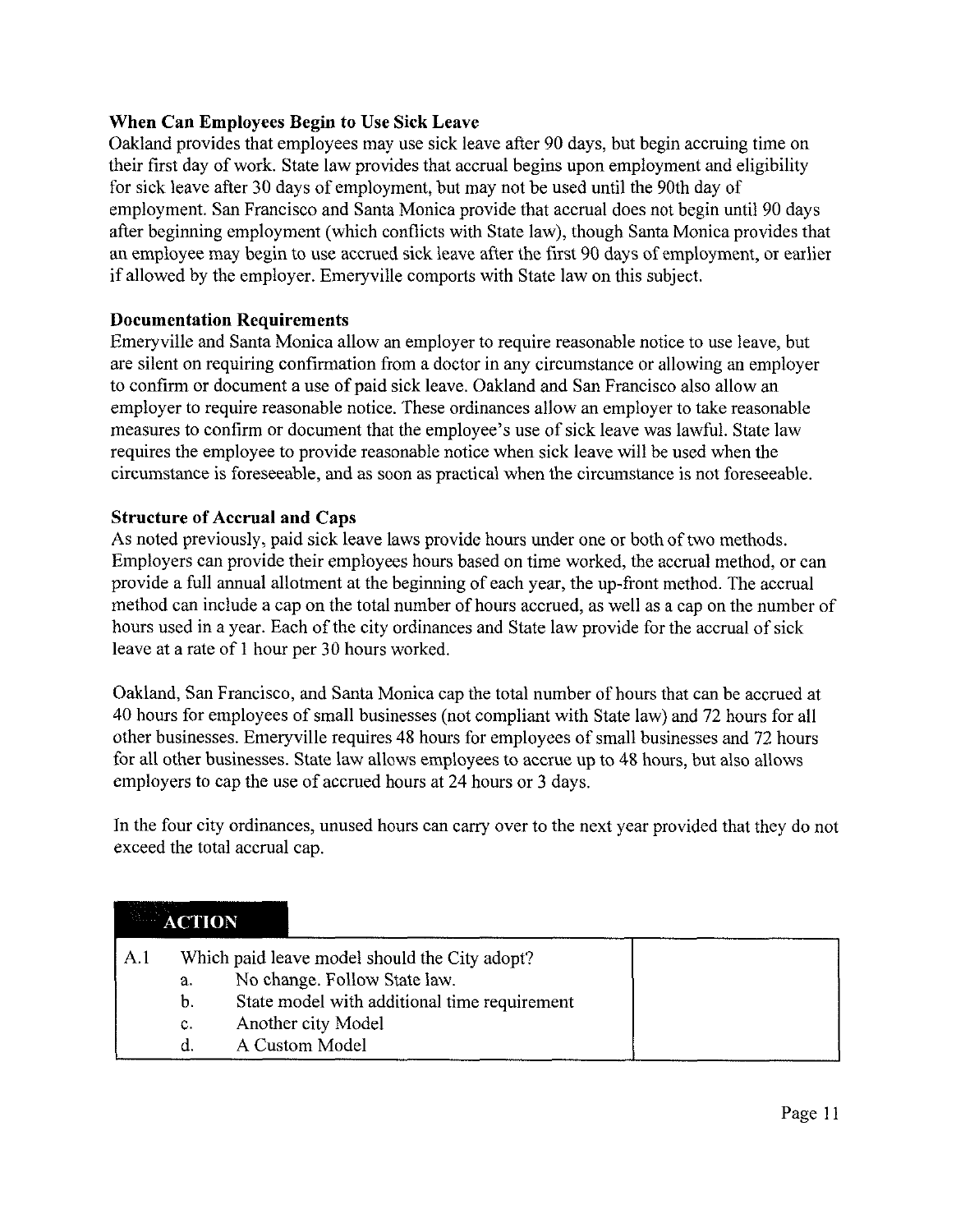## **When Can Employees Begin to Use Sick Leave**

Oakland provides that employees may use sick leave after 90 days, but begin accruing time on their first day of work. State law provides that accrual begins upon employment and eligibility for sick leave after 30 days of employment, but may not be used until the 90th day of employment. San Francisco and Santa Monica provide that accrual does not begin until 90 days after beginning employment (which conflicts with State law), though Santa Monica provides that an employee may begin to use accrued sick leave after the first 90 days of employment, or earlier if allowed by the employer. Emeryville comports with State law on this subject.

### **Documentation Requirements**

Emeryville and Santa Monica allow an employer to require reasonable notice to use leave, but are silent on requiring confirmation from a doctor in any circumstance or allowing an employer to confirm or document a use of paid sick leave. Oakland and San Francisco also allow an employer to require reasonable notice. These ordinances allow an employer to take reasonable measures to confirm or document that the employee's use of sick leave was lawful. State law requires the employee to provide reasonable notice when sick leave will be used when the circumstance is foreseeable, and as soon as practical when the circumstance is not foreseeable.

### **Structure of Accrual and Caps**

As noted previously, paid sick leave laws provide hours under one or both of two methods. Employers can provide their employees hours based on time worked, the accrual method, or can provide a full annual allotment at the beginning of each year, the up-front method. The accrual method can include a cap on the total number of hours accrued, as well as a cap on the number of hours used in a year. Each of the city ordinances and State law provide for the accrual of sick leave at a rate of <sup>1</sup> hour per 30 hours worked.

Oakland, San Francisco, and Santa Monica cap the total number of hours that can be accrued at 40 hours for employees of small businesses (not compliant with State law) and 72 hours for all other businesses. Emeryville requires 48 hours for employees of small businesses and 72 hours for all other businesses. State law allows employees to accrue up to 48 hours, but also allows employers to cap the use of accrued hours at 24 hours or 3 days.

In the four city ordinances, unused hours can carry over to the next year provided that they do not exceed the total accrual cap.

|     | <b>ACTION</b> |                                                                                                                               |  |
|-----|---------------|-------------------------------------------------------------------------------------------------------------------------------|--|
| A.l | a.<br>b.      | Which paid leave model should the City adopt?<br>No change. Follow State law.<br>State model with additional time requirement |  |
|     | c.<br>d       | Another city Model<br>A Custom Model                                                                                          |  |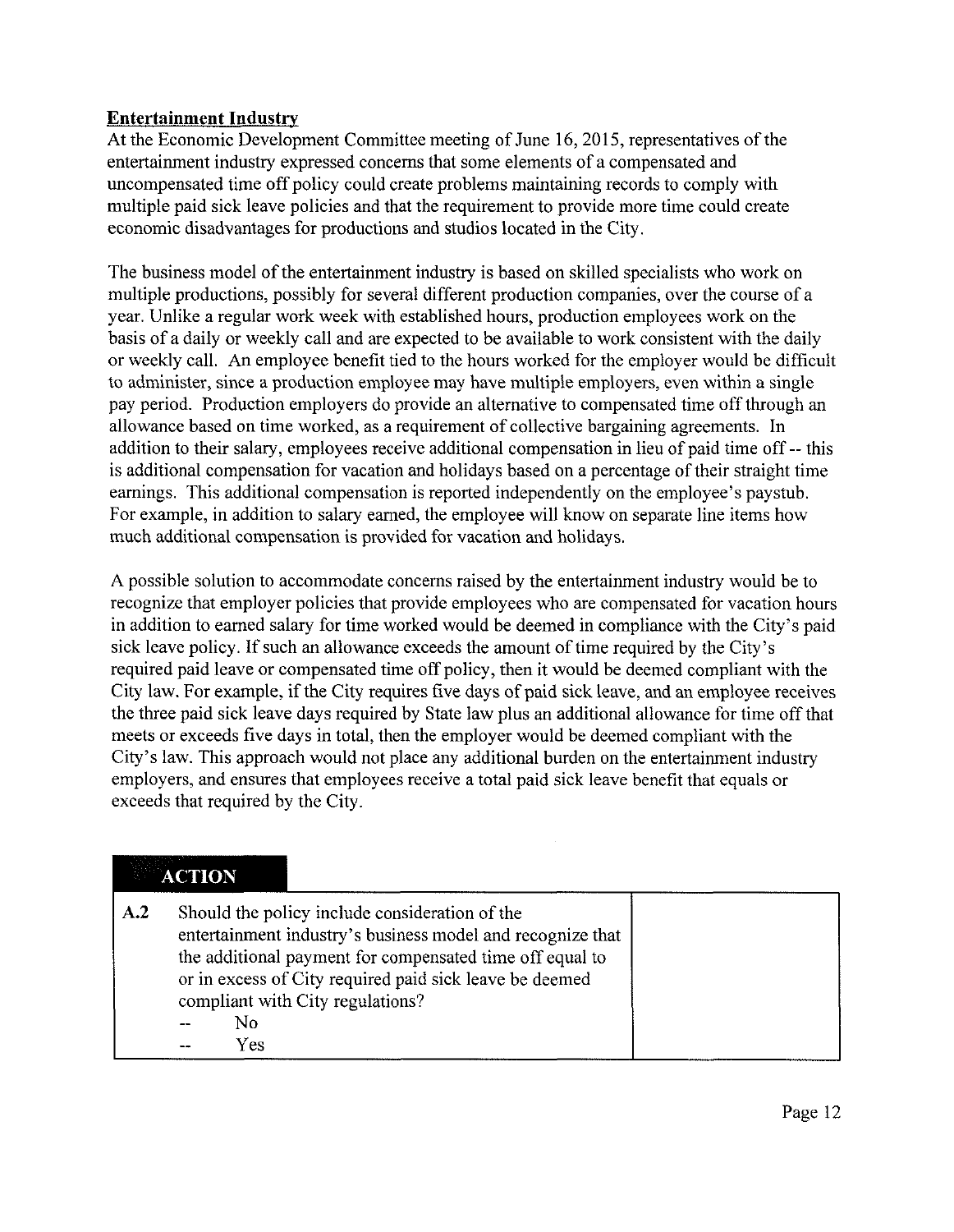## **Entertainment Industry**

At the Economic Development Committee meeting of June 16, 2015, representatives of the entertainment industry expressed concerns that some elements of a compensated and uncompensated time off policy could create problems maintaining records to comply with multiple paid sick leave policies and that the requirement to provide more time could create economic disadvantages for productions and studios located in the City.

The business model of the entertainment industry is based on skilled specialists who work on multiple productions, possibly for several different production companies, over the course of a year. Unlike a regular work week with established hours, production employees work on the basis of a daily or weekly call and are expected to be available to work consistent with the daily or weekly call. An employee benefit tied to the hours worked for the employer would be difficult to administer, since a production employee may have multiple employers, even within a single pay period. Production employers do provide an alternative to compensated time offthrough an allowance based on time worked, as a requirement of collective bargaining agreements. In addition to their salary, employees receive additional compensation in lieu of paid time off-- this is additional compensation for vacation and holidays based on a percentage of their straight time earnings. This additional compensation is reported independently on the employee's paystub. For example, in addition to salary earned, the employee will know on separate line items how much additional compensation is provided for vacation and holidays.

A possible solution to accommodate concerns raised by the entertainment industry would be to recognize that employer policies that provide employees who are compensated for vacation hours in addition to earned salary for time worked would be deemed in compliance with the City's paid sick leave policy. If such an allowance exceeds the amount of time required by the City's required paid leave or compensated time off policy, then it would be deemed compliant with the City law. For example, if the City requires five days of paid sick leave, and an employee receives the three paid sick leave days required by State law plus an additional allowance for time offthat meets or exceeds five days in total, then the employer would be deemed compliant with the City's law. This approach would not place any additional burden on the entertainment industry employers, and ensures that employees receive a total paid sick leave benefit that equals or exceeds that required by the City.

# **ACTION**

| A.2 | Should the policy include consideration of the<br>entertainment industry's business model and recognize that<br>the additional payment for compensated time off equal to<br>or in excess of City required paid sick leave be deemed<br>compliant with City regulations? |  |
|-----|-------------------------------------------------------------------------------------------------------------------------------------------------------------------------------------------------------------------------------------------------------------------------|--|
|     | No                                                                                                                                                                                                                                                                      |  |
|     | Yes                                                                                                                                                                                                                                                                     |  |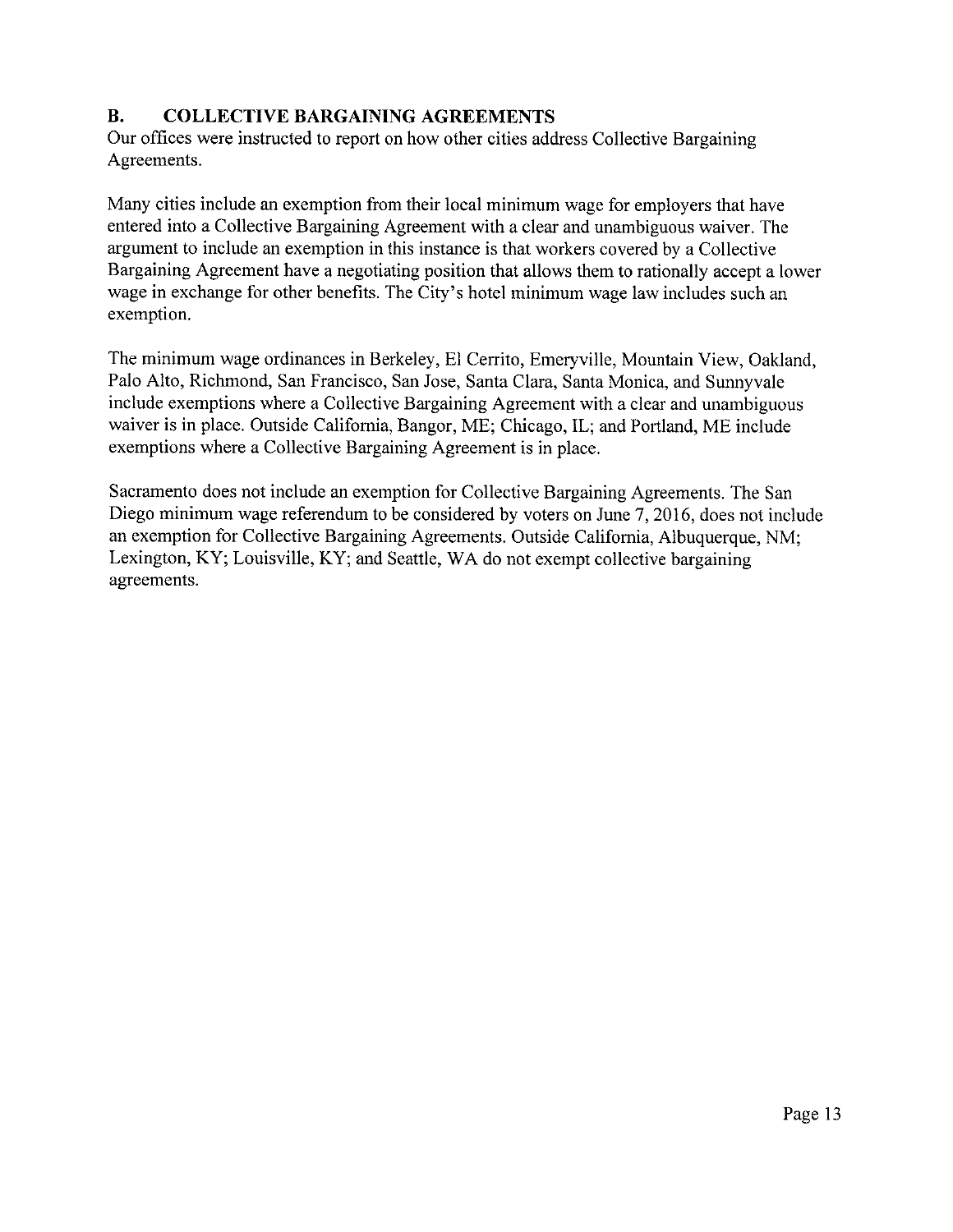## **B. COLLECTIVE BARGAINING AGREEMENTS**

Our offices were instructed to report on how other cities address Collective Bargaining Agreements.

Many cities include an exemption from their local minimum wage for employers that have entered into a Collective Bargaining Agreement with a clear and unambiguous waiver. The argument to include an exemption in this instance is that workers covered by a Collective Bargaining Agreement have a negotiating position that allows them to rationally accept a lower wage in exchange for other benefits. The City's hotel minimum wage law includes such an exemption.

The minimum wage ordinances in Berkeley, El Cerrito, Emeryville, Mountain View, Oakland, Palo Alto, Richmond, San Francisco, San Jose, Santa Clara, Santa Monica, and Sunnyvale include exemptions where a Collective Bargaining Agreement with a clear and unambiguous waiver is in place. Outside California, Bangor, ME; Chicago, IL; and Portland, ME include exemptions where a Collective Bargaining Agreement is in place.

Sacramento does not include an exemption for Collective Bargaining Agreements. The San Diego minimum wage referendum to be considered by voters on June 7, 2016, does not include an exemption for Collective Bargaining Agreements. Outside California, Albuquerque, NM; Lexington, KY; Louisville, KY; and Seattle, WA do not exempt collective bargaining agreements.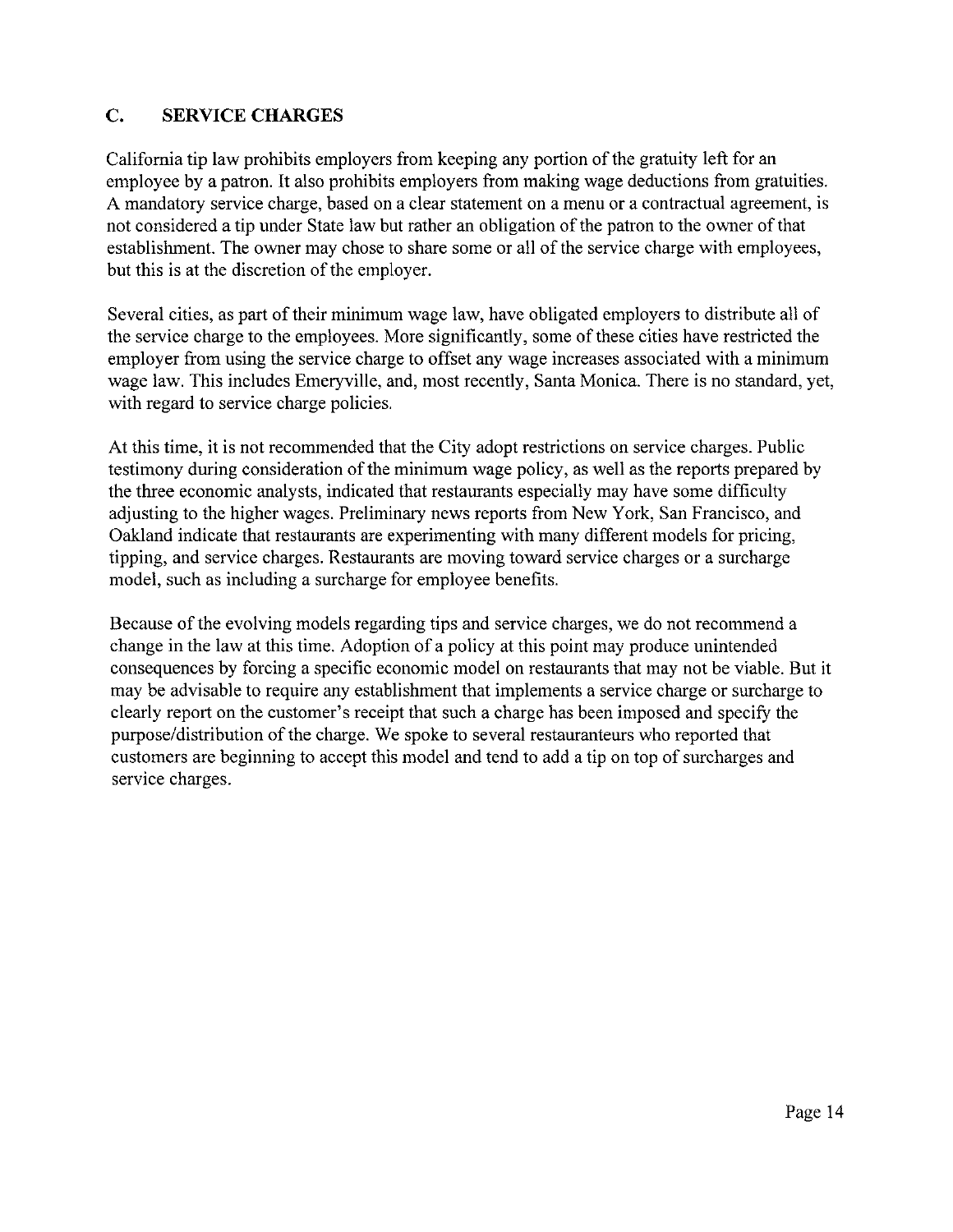## c. **SERVICE CHARGES**

California tip law prohibits employers from keeping any portion ofthe gratuity left for an employee by a patron. It also prohibits employers from making wage deductions from gratuities. A mandatory service charge, based on a clear statement on a menu or a contractual agreement, is not considered a tip under State law but rather an obligation of the patron to the owner of that establishment. The owner may chose to share some or all of the service charge with employees, but this is at the discretion of the employer.

Several cities, as part of their minimum wage law, have obligated employers to distribute all of the service charge to the employees. More significantly, some of these cities have restricted the employer from using the service charge to offset any wage increases associated with a minimum wage law. This includes Emeryville, and, most recently, Santa Monica. There is no standard, yet, with regard to service charge policies.

At this time, it is not recommended that the City adopt restrictions on service charges. Public testimony during consideration of the minimum wage policy, as well as the reports prepared by the three economic analysts, indicated that restaurants especially may have some difficulty adjusting to the higher wages. Preliminary news reports from New York, San Francisco, and Oakland indicate that restaurants are experimenting with many different models for pricing, tipping, and service charges. Restaurants are moving toward service charges or a surcharge model, such as including a surcharge for employee benefits.

Because of the evolving models regarding tips and service charges, we do not recommend a change in the law at this time. Adoption of a policy at this point may produce unintended consequences by forcing a specific economic model on restaurants that may not be viable. But it may be advisable to require any establishment that implements a service charge or surcharge to clearly report on the customer's receipt that such a charge has been imposed and specify the purpose/distribution of the charge. We spoke to several restauranteurs who reported that customers are beginning to accept this model and tend to add a tip on top of surcharges and service charges.